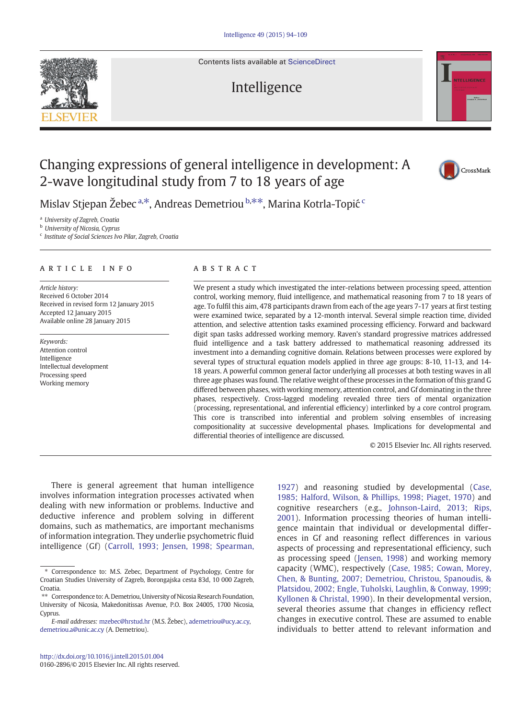Contents lists available at [ScienceDirect](http://www.sciencedirect.com/science/journal/01602896)

# Intelligence



# Changing expressions of general intelligence in development: A 2-wave longitudinal study from 7 to 18 years of age



Mislav Stjepan Žebec<sup>a,\*</sup>, Andreas Demetriou <sup>b,\*\*</sup>, Marina Kotrla-Topić <sup>c</sup>

<sup>a</sup> University of Zagreb, Croatia

**b** University of Nicosia, Cyprus

<sup>c</sup> Institute of Social Sciences Ivo Pilar, Zagreb, Croatia

### article info abstract

Article history: Received 6 October 2014 Received in revised form 12 January 2015 Accepted 12 January 2015 Available online 28 January 2015

Keywords: Attention control Intelligence Intellectual development Processing speed Working memory

We present a study which investigated the inter-relations between processing speed, attention control, working memory, fluid intelligence, and mathematical reasoning from 7 to 18 years of age. To fulfil this aim, 478 participants drawn from each of the age years 7-17 years at first testing were examined twice, separated by a 12-month interval. Several simple reaction time, divided attention, and selective attention tasks examined processing efficiency. Forward and backward digit span tasks addressed working memory. Raven's standard progressive matrices addressed fluid intelligence and a task battery addressed to mathematical reasoning addressed its investment into a demanding cognitive domain. Relations between processes were explored by several types of structural equation models applied in three age groups: 8-10, 11-13, and 14- 18 years. A powerful common general factor underlying all processes at both testing waves in all three age phases was found. The relative weight of these processes in the formation of this grand G differed between phases, with working memory, attention control, and Gf dominating in the three phases, respectively. Cross-lagged modeling revealed three tiers of mental organization (processing, representational, and inferential efficiency) interlinked by a core control program. This core is transcribed into inferential and problem solving ensembles of increasing compositionality at successive developmental phases. Implications for developmental and differential theories of intelligence are discussed.

© 2015 Elsevier Inc. All rights reserved.

There is general agreement that human intelligence involves information integration processes activated when dealing with new information or problems. Inductive and deductive inference and problem solving in different domains, such as mathematics, are important mechanisms of information integration. They underlie psychometric fluid intelligence (Gf) ([Carroll, 1993; Jensen, 1998; Spearman,](#page--1-0)

[1927\)](#page--1-0) and reasoning studied by developmental ([Case,](#page--1-0) [1985; Halford, Wilson, & Phillips, 1998; Piaget, 1970](#page--1-0)) and cognitive researchers (e.g., [Johnson-Laird, 2013; Rips,](#page--1-0) [2001\)](#page--1-0). Information processing theories of human intelligence maintain that individual or developmental differences in Gf and reasoning reflect differences in various aspects of processing and representational efficiency, such as processing speed [\(Jensen, 1998\)](#page--1-0) and working memory capacity (WMC), respectively ([Case, 1985; Cowan, Morey,](#page--1-0) [Chen, & Bunting, 2007; Demetriou, Christou, Spanoudis, &](#page--1-0) [Platsidou, 2002; Engle, Tuholski, Laughlin, & Conway, 1999;](#page--1-0) [Kyllonen & Christal, 1990\)](#page--1-0). In their developmental version, several theories assume that changes in efficiency reflect changes in executive control. These are assumed to enable individuals to better attend to relevant information and

Correspondence to: M.S. Zebec, Department of Psychology, Centre for Croatian Studies University of Zagreb, Borongajska cesta 83d, 10 000 Zagreb, Croatia.

<sup>⁎⁎</sup> Correspondence to: A. Demetriou, University of Nicosia Research Foundation, University of Nicosia, Makedonitissas Avenue, P.O. Box 24005, 1700 Nicosia, Cyprus.

E-mail addresses: [mzebec@hrstud.hr](mailto:mzebec@hrstud.hr) (M.S. Žebec), [ademetriou@ucy.ac.cy,](mailto:ademetriou@ucy.ac.cy) [demetriou.a@unic.ac.cy](mailto:demetriou.a@unic.ac.cy) (A. Demetriou).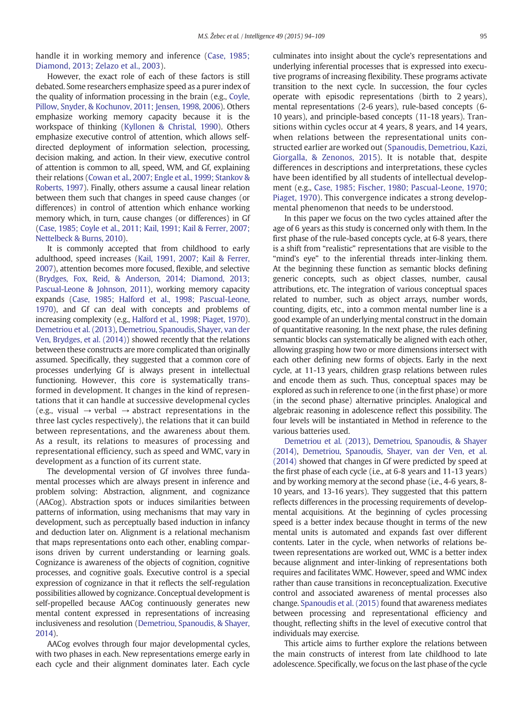handle it in working memory and inference [\(Case, 1985;](#page--1-0) [Diamond, 2013; Zelazo et al., 2003\)](#page--1-0).

However, the exact role of each of these factors is still debated. Some researchers emphasize speed as a purer index of the quality of information processing in the brain (e.g., [Coyle,](#page--1-0) [Pillow, Snyder, & Kochunov, 2011; Jensen, 1998, 2006](#page--1-0)). Others emphasize working memory capacity because it is the workspace of thinking [\(Kyllonen & Christal, 1990\)](#page--1-0). Others emphasize executive control of attention, which allows selfdirected deployment of information selection, processing, decision making, and action. In their view, executive control of attention is common to all, speed, WM, and Gf, explaining their relations [\(Cowan et al., 2007; Engle et al., 1999; Stankov &](#page--1-0) [Roberts, 1997](#page--1-0)). Finally, others assume a causal linear relation between them such that changes in speed cause changes (or differences) in control of attention which enhance working memory which, in turn, cause changes (or differences) in Gf [\(Case, 1985; Coyle et al., 2011; Kail, 1991; Kail & Ferrer, 2007;](#page--1-0) [Nettelbeck & Burns, 2010\)](#page--1-0).

It is commonly accepted that from childhood to early adulthood, speed increases ([Kail, 1991, 2007; Kail & Ferrer,](#page--1-0) [2007\)](#page--1-0), attention becomes more focused, flexible, and selective [\(Brydges, Fox, Reid, & Anderson, 2014; Diamond, 2013;](#page--1-0) [Pascual-Leone & Johnson, 2011](#page--1-0)), working memory capacity expands ([Case, 1985; Halford et al., 1998; Pascual-Leone,](#page--1-0) [1970\)](#page--1-0), and Gf can deal with concepts and problems of increasing complexity (e.g., [Halford et al., 1998; Piaget, 1970\)](#page--1-0). [Demetriou et al. \(2013\)](#page--1-0), [Demetriou, Spanoudis, Shayer, van der](#page--1-0) [Ven, Brydges, et al. \(2014\)](#page--1-0)) showed recently that the relations between these constructs are more complicated than originally assumed. Specifically, they suggested that a common core of processes underlying Gf is always present in intellectual functioning. However, this core is systematically transformed in development. It changes in the kind of representations that it can handle at successive developmenal cycles (e.g., visual  $\rightarrow$  verbal  $\rightarrow$  abstract representations in the three last cycles respectively), the relations that it can build between representations, and the awareness about them. As a result, its relations to measures of processing and representational efficiency, such as speed and WMC, vary in development as a function of its current state.

The developmental version of Gf involves three fundamental processes which are always present in inference and problem solving: Abstraction, alignment, and cognizance (AACog). Abstraction spots or induces similarities between patterns of information, using mechanisms that may vary in development, such as perceptually based induction in infancy and deduction later on. Alignment is a relational mechanism that maps representations onto each other, enabling comparisons driven by current understanding or learning goals. Cognizance is awareness of the objects of cognition, cognitive processes, and cognitive goals. Executive control is a special expression of cognizance in that it reflects the self-regulation possibilities allowed by cognizance. Conceptual development is self-propelled because AACog continuously generates new mental content expressed in representations of increasing inclusiveness and resolution ([Demetriou, Spanoudis, & Shayer,](#page--1-0) [2014\)](#page--1-0).

AACog evolves through four major developmental cycles, with two phases in each. New representations emerge early in each cycle and their alignment dominates later. Each cycle culminates into insight about the cycle's representations and underlying inferential processes that is expressed into executive programs of increasing flexibility. These programs activate transition to the next cycle. In succession, the four cycles operate with episodic representations (birth to 2 years), mental representations (2-6 years), rule-based concepts (6- 10 years), and principle-based concepts (11-18 years). Transitions within cycles occur at 4 years, 8 years, and 14 years, when relations between the representational units constructed earlier are worked out ([Spanoudis, Demetriou, Kazi,](#page--1-0) [Giorgalla, & Zenonos, 2015\)](#page--1-0). It is notable that, despite differences in descriptions and interpretations, these cycles have been identified by all students of intellectual development (e.g., [Case, 1985; Fischer, 1980; Pascual-Leone, 1970;](#page--1-0) [Piaget, 1970\)](#page--1-0). This convergence indicates a strong developmental phenomenon that needs to be understood.

In this paper we focus on the two cycles attained after the age of 6 years as this study is concerned only with them. In the first phase of the rule-based concepts cycle, at 6-8 years, there is a shift from "realistic" representations that are visible to the "mind's eye" to the inferential threads inter-linking them. At the beginning these function as semantic blocks defining generic concepts, such as object classes, number, causal attributions, etc. The integration of various conceptual spaces related to number, such as object arrays, number words, counting, digits, etc., into a common mental number line is a good example of an underlying mental construct in the domain of quantitative reasoning. In the next phase, the rules defining semantic blocks can systematically be aligned with each other, allowing grasping how two or more dimensions intersect with each other defining new forms of objects. Early in the next cycle, at 11-13 years, children grasp relations between rules and encode them as such. Thus, conceptual spaces may be explored as such in reference to one (in the first phase) or more (in the second phase) alternative principles. Analogical and algebraic reasoning in adolescence reflect this possibility. The four levels will be instantiated in Method in reference to the various batteries used.

[Demetriou et al. \(2013\),](#page--1-0) [Demetriou, Spanoudis, & Shayer](#page--1-0) [\(2014\),](#page--1-0) [Demetriou, Spanoudis, Shayer, van der Ven, et al.](#page--1-0) [\(2014\)](#page--1-0) showed that changes in Gf were predicted by speed at the first phase of each cycle (i.e., at 6-8 years and 11-13 years) and by working memory at the second phase (i.e., 4-6 years, 8- 10 years, and 13-16 years). They suggested that this pattern reflects differences in the processing requirements of developmental acquisitions. At the beginning of cycles processing speed is a better index because thought in terms of the new mental units is automated and expands fast over different contents. Later in the cycle, when networks of relations between representations are worked out, WMC is a better index because alignment and inter-linking of representations both requires and facilitates WMC. However, speed and WMC index rather than cause transitions in reconceptualization. Executive control and associated awareness of mental processes also change. [Spanoudis et al. \(2015\)](#page--1-0) found that awareness mediates between processing and representational efficiency and thought, reflecting shifts in the level of executive control that individuals may exercise.

This article aims to further explore the relations between the main constructs of interest from late childhood to late adolescence. Specifically, we focus on the last phase of the cycle